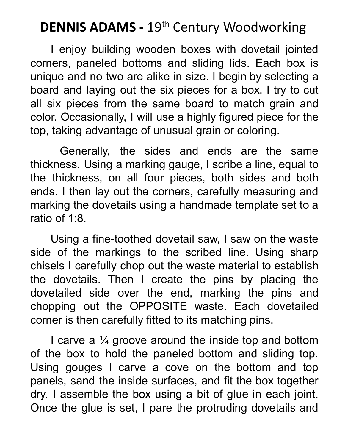## **DENNIS ADAMS -** 19th Century Woodworking

I enjoy building wooden boxes with dovetail jointed corners, paneled bottoms and sliding lids. Each box is unique and no two are alike in size. I begin by selecting a board and laying out the six pieces for a box. I try to cut all six pieces from the same board to match grain and color. Occasionally, I will use a highly figured piece for the top, taking advantage of unusual grain or coloring.

Generally, the sides and ends are the same thickness. Using a marking gauge, I scribe a line, equal to the thickness, on all four pieces, both sides and both ends. I then lay out the corners, carefully measuring and marking the dovetails using a handmade template set to a ratio of 1:8.

Using a fine-toothed dovetail saw, I saw on the waste side of the markings to the scribed line. Using sharp chisels I carefully chop out the waste material to establish the dovetails. Then I create the pins by placing the dovetailed side over the end, marking the pins and chopping out the OPPOSITE waste. Each dovetailed corner is then carefully fitted to its matching pins.

I carve a  $\frac{1}{4}$  groove around the inside top and bottom of the box to hold the paneled bottom and sliding top. Using gouges I carve a cove on the bottom and top panels, sand the inside surfaces, and fit the box together dry. I assemble the box using a bit of glue in each joint. Once the glue is set, I pare the protruding dovetails and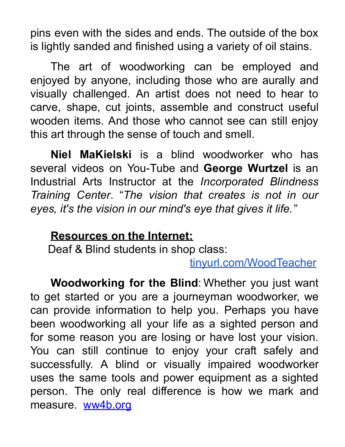pins even with the sides and ends. The outside of the box is lightly sanded and finished using a variety of oil stains.

The art of woodworking can be employed and enjoyed by anyone, including those who are aurally and visually challenged. An artist does not need to hear to carve, shape, cut joints, assemble and construct useful wooden items. And those who cannot see can still enjoy this art through the sense of touch and smell.

**Niel MaKielski** is a blind woodworker who has several videos on You-Tube and **George Wurtzel** is an Industrial Arts Instructor at the *Incorporated Blindness Training Center*. "*The vision that creates is not in our eyes, it's the vision in our mind's eye that gives it life."*

## **Resources on the Internet:**

Deaf & Blind students in shop class:

tinyurl.com/WoodTeacher

**Woodworking for the Blind**: Whether you just want to get started or you are a journeyman woodworker, we can provide information to help you. Perhaps you have been woodworking all your life as a sighted person and for some reason you are losing or have lost your vision. You can still continue to enjoy your craft safely and successfully. A blind or visually impaired woodworker uses the same tools and power equipment as a sighted person. The only real difference is how we mark and measure. ww4b.org